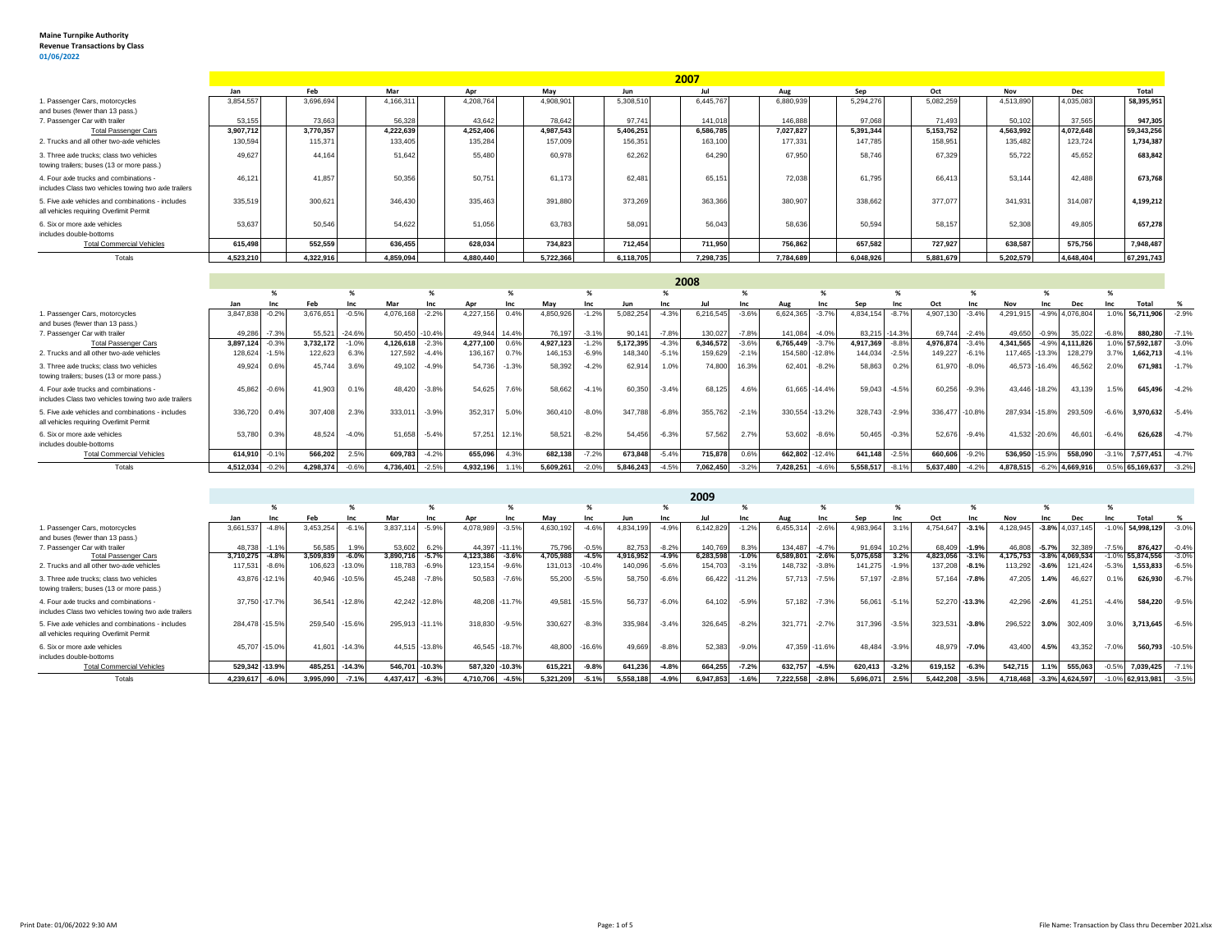m.

|                                                                                                |           |           |           |           |           |           | 2007      |           |           |           |           |           |            |
|------------------------------------------------------------------------------------------------|-----------|-----------|-----------|-----------|-----------|-----------|-----------|-----------|-----------|-----------|-----------|-----------|------------|
|                                                                                                | Jan       | Feb       | Mar       | Apr       | Mav       | Jun       |           | Aug       | Sep       | Oct       | Nov       | Dec       | Total      |
| 1. Passenger Cars, motorcycles                                                                 | 3,854,557 | 3,696,694 | 4,166,311 | 4,208,764 | 4,908,901 | 5,308,51  | 6.445.76  | 6,880,939 | 5,294,276 | 5,082,259 | 4,513,890 | 4,035,083 | 58,395,951 |
| and buses (fewer than 13 pass.)                                                                |           |           |           |           |           |           |           |           |           |           |           |           |            |
| 7. Passenger Car with trailer                                                                  | 53,155    | 73,663    | 56,328    | 43,642    | 78,642    | 97.741    | 141,018   | 146,888   | 97.068    | 71,493    | 50,102    | 37,565    | 947,305    |
| <b>Total Passenger Cars</b>                                                                    | 3,907,712 | 3,770,357 | 4,222,639 | 4,252,406 | 4,987,543 | 5,406,251 | 6,586,785 | 7,027,827 | 5,391,344 | 5,153,752 | 4,563,992 | 4,072,648 | 59,343,256 |
| 2. Trucks and all other two-axle vehicles                                                      | 130,594   | 115.37'   | 133,405   | 135,284   | 157,009   | 156,35    | 163,100   | 177,331   | 147.785   | 158,951   | 135,482   | 123.724   | 1,734,387  |
| 3. Three axle trucks: class two vehicles<br>towing trailers; buses (13 or more pass.)          | 49.627    | 44.164    | 51.642    | 55,480    | 60.978    | 62.262    | 64.29     | 67.95     | 58,746    | 67.329    | 55,722    | 45.652    | 683,842    |
| 4. Four axle trucks and combinations -<br>includes Class two vehicles towing two axle trailers | 46,12'    | 41.857    | 50,356    | 50.751    | 61,173    | 62.48     | 65,15     | 72,038    | 61,795    | 66,413    | 53,144    | 42.488    | 673,76     |
| 5. Five axle vehicles and combinations - includes<br>all vehicles requiring Overlimit Permit   | 335.519   | 300.621   | 346,430   | 335.463   | 391,880   | 373.269   | 363,366   | 380,907   | 338,662   | 377,077   | 341.931   | 314.087   | 4,199,212  |
| 6. Six or more axle vehicles<br>includes double-bottoms                                        | 53.637    | 50,546    | 54,622    | 51,056    | 63.783    | 58.09     | 56.04     | 58,636    | 50,594    | 58.157    | 52,308    | 49,805    | 657,278    |
| <b>Total Commercial Vehicles</b>                                                               | 615,498   | 552,559   | 636,455   | 628,034   | 734,823   | 712,454   | 711,950   | 756,862   | 657,582   | 727,927   | 638,587   | 575,756   | 7,948,487  |
| Totals                                                                                         | 4,523,210 | 4,322,916 | 4,859,094 | 4,880,440 | 5,722,366 | 6,118,705 | 7.298.735 | 7,784,689 | 6.048.926 | 5,881,679 | 5,202,579 | 4,648,404 | 67,291,743 |

|                                                                                                |           |         |           |          |           |               |              |         |           |            |           |         | 2008      |         |                |                |               |            |                 |         |                |         |                    |         |                       |         |
|------------------------------------------------------------------------------------------------|-----------|---------|-----------|----------|-----------|---------------|--------------|---------|-----------|------------|-----------|---------|-----------|---------|----------------|----------------|---------------|------------|-----------------|---------|----------------|---------|--------------------|---------|-----------------------|---------|
|                                                                                                |           |         |           | %        |           |               |              |         |           |            |           |         |           |         |                |                |               |            |                 |         |                |         |                    |         |                       |         |
|                                                                                                | Jan       | Inc     | Feb       | Inc      | Mar       | Inc           | Apr          | Inc     | Mav       | <b>Inc</b> | Jun       |         | Jul       |         | Aug            | Inc            | Sep           | <b>Inc</b> |                 | Inc     | Nov            | Inc     | Dec                |         | Total                 |         |
| 1. Passenger Cars, motorcycles                                                                 | 3,847,83  | $-0.2%$ | 3,676,65  | $-0.59$  | 4,076,168 |               | 4,227,156    | 0.4%    | 4,850,926 | $-1.2%$    | 5,082,254 | $-4.3%$ | 6,216,545 | $-3.6%$ | 6,624,365      | $-3.7%$        | 4,834,154     |            | 4,907,130       | $-3.4%$ | 4,291,915      |         | -4.9% 4,076,804    |         | 56,711,906            | $-2.9%$ |
| and buses (fewer than 13 pass.)                                                                |           |         |           |          |           |               |              |         |           |            |           |         |           |         |                |                |               |            |                 |         |                |         |                    |         |                       |         |
| 7. Passenger Car with trailer                                                                  | 49,286    | $-7.3%$ | 55,521    | $-24.6%$ |           | 50,450 -10.4% | 49,944       | 14.4%   | 76,197    | $-3.1%$    | 90,141    | $-7.8%$ | 130,027   | $-7.8%$ | 141,084        | $-4.0%$        | 83,215 -14.3% |            | 69,744 -2.4%    |         | 49,650         | $-0.9%$ | 35,022             |         | 880,280               | $-7.1%$ |
| <b>Total Passenger Cars</b>                                                                    | 3,897,124 | $-0.3%$ | 3,732,172 | $-1.09$  | 4,126,61  | $-2.3%$       | 4,277,100    | 0.6%    | 4,927,123 | $-1.2%$    | 5,172,395 | $-4.3%$ | 6,346,572 | $-3.6%$ | 6,765,449      | $-3.7%$        | 4,917,369     | $-8.8%$    | 4.976.874 -3.4% |         | 4.341.565      |         | -4.9% 4.111.826    |         | 1.0% 57,592,187 -3.0% |         |
| 2. Trucks and all other two-axle vehicles                                                      | 128,62    | $-1.5%$ | 122,623   | 6.3%     | 127,592   | $-4.4%$       | 136,167      | 0.7%    | 146,153   | $-6.9%$    | 148,340   | $-5.1%$ | 159,629   | $-2.1%$ | 154,580 -12.8% |                | 144,03-       | $-2.5%$    | 149,227 -6.1%   |         | 117,465 -13.3% |         | 128,279            |         | 1,662,713 -4.1%       |         |
| 3. Three axle trucks: class two vehicles<br>towing trailers; buses (13 or more pass.)          | 49,924    | 0.6%    | 45.744    | 3.6%     |           | 49.102 -4.9%  | 54.73        | $-1.3%$ | 58,392    | $-4.2%$    | 62.914    | 1.0%    | 74,80     | 16.3%   | 62.401         | $-8.2%$        | 58.86         | 0.2%       | 61.970          | $-8.0%$ | 46,573 -16.4%  |         | 46.562             | 2.09    | 671,981 -1.7%         |         |
| 4. Four axle trucks and combinations -<br>includes Class two vehicles towing two axle trailers | 45.862    | $-0.6%$ | 41.903    | 0.1%     | 48.420    | $-3.8%$       | 54.62        | 7.6%    | 58.662    | $-4.1%$    | 60,350    | $-3.4%$ | 68.125    | 4.6%    |                | 61.665 - 14.4% | 59,04         | $-4.5%$    | 60,256          | $-9.3%$ | 43.446 -18.2%  |         | 43.139             | 1.5%    | 645,496               | $-4.2%$ |
| 5. Five axle vehicles and combinations - includes<br>all vehicles requiring Overlimit Permit   | 336,720   | 0.4%    | 307.408   | 2.3%     | 333.01    | $-3.9%$       | 352.31       | 5.0%    | 360,410   | $-8.0%$    | 347,788   | $-6.8%$ | 355,762   | $-2.1%$ | 330,554 -13.2% |                | 328,74        | $-2.9%$    | 336.477 -10.8%  |         | 287.934 -15.8% |         | 293,509            | $-6.69$ | 3,970,632 -5.4%       |         |
| 6. Six or more axle vehicles<br>includes double-bottoms                                        | 53,78     | 0.3%    | 48.52     | $-4.09$  | 51.658    | $-5.4%$       | 57.251 12.1% |         | 58,521    | $-8.2%$    | 54.456    | $-6.3%$ | 57.562    | 2.7%    | 53,602         | $-8.6%$        | 50.46         | $-0.3%$    | 52,676          | $-9.4%$ | 41.532 -20.6%  |         | 46,601             | $-6.4%$ | 626,628               | $-4.7%$ |
| <b>Total Commercial Vehicles</b>                                                               | 614.910   | $-0.1%$ | 566,202   | 2.5%     | 609,783   | $-4.2%$       | 655.09       | 4.3%    | 682,138   | $-7.2%$    | 673,848   | $-5.4%$ | 715.878   | 0.6%    | 662.802 -12.4% |                | 641.148       | $-2.5%$    | 660,606         | $-9.2%$ | 536.950 -15.9% |         | 558,090            | $-3.1$  | 7,577,451             | $-4.7%$ |
| Totals                                                                                         | 4.512.034 | $-0.2%$ | 4.298.374 | $-0.6%$  | 4,736,401 | $-2.5%$       | 4.932.196    | 1.1%    | 5.609.261 | $-2.0%$    | 5.846.243 | $-4.5%$ | 7.062.450 | $-3.2%$ | 7.428.251      | $-4.6%$        | 5.558.517     | $-8.1%$    | 5.637.480       | $-4.2%$ | 4.878.515      |         | $-6.2\%$ 4,669,916 |         | 0.5% 65.169.637 -3.2% |         |

|                                                      |                |                |           |          |                 |               |                |          |           |          |           |         | 2009          |         |           |               |           |         |           |                |           |         |                    |         |            |          |
|------------------------------------------------------|----------------|----------------|-----------|----------|-----------------|---------------|----------------|----------|-----------|----------|-----------|---------|---------------|---------|-----------|---------------|-----------|---------|-----------|----------------|-----------|---------|--------------------|---------|------------|----------|
|                                                      |                | 70             |           |          |                 |               |                |          |           |          |           |         |               |         |           |               |           |         |           |                |           |         |                    |         |            |          |
|                                                      | Jan            | Inc            | Feb       | Inc      | Mar             | Inc           | Apr            | Inc      | Mav       | Inc      | Jun       | Inc     |               | Inc     | Aug       | Inc           | Sen       | Inc     | Oct       | Inc            | Nov       | Inc     | <b>Dec</b>         | Inc     | Total      |          |
| . Passenger Cars, motorcycles                        | 3,661,537      | $-4.89$        | 3,453,254 | $-6.1%$  | 3,837,11        | $-5.9%$       | 4,078,98       | $-3.5%$  | 4,630,192 | $-4.6%$  | 4,834,199 | $-4.9%$ | 6,142,829     | $-1.2%$ | 6,455,314 | $-2.6%$       | 4,983,96  |         | 4,754,647 | $-3.1%$        | 1,128,945 | $-3.8%$ | 4,037,145          | $-1.09$ | 54,998,129 | $-3.0%$  |
| and buses (fewer than 13 pass.)                      |                |                |           |          |                 |               |                |          |           |          |           |         |               |         |           |               |           |         |           |                |           |         |                    |         |            |          |
| 7. Passenger Car with trailer                        | 48.738         | $-1.1%$        | 56,585    | 1.9%     | 53,602 6.2%     |               | 44.397 -11.1%  |          | 75.796    | $-0.5%$  | 82.753    | $-8.2%$ | 140.769       | 8.3%    | 134.487   | $-4.7%$       | 91.694    | 10.2%   | 68,409    | $-1.9%$        | 46,808    | $-5.7%$ | 32,389             | $-7.5%$ | 876,427    | $-0.4%$  |
| <b>Total Passenger Cars</b>                          | 3,710,275      | $-4.8%$        | 3,509,839 | $-6.0%$  | 3,890,716 -5.7% |               | 4,123,386      | $-3.6%$  | 4,705,988 | $-4.5%$  | 4,916,952 | $-4.9%$ | 6,283,598     | $-1.0%$ | 6,589,801 | $-2.6%$       | 5,075,65  |         | 1,823,056 | $-3.1%$        | 4,175,753 |         | $-3.8\%$ 4,069,534 | $-1.0%$ | 55,874,556 | $-3.0%$  |
| 2. Trucks and all other two-axle vehicles            | 117,531        | $-8.6%$        | 106,623   | $-13.0%$ | 118,783 -6.9%   |               | 123.15         | $-9.6%$  | 131,013   | $-10.4%$ | 140.096   | $-5.6%$ | 154.70        | $-3.1%$ | 148.732   | $-3.8%$       | 141.27    | $-1.9%$ | 137.208   | $-8.1%$        | 113,292   | $-3.6%$ | 121,424            | $-5.39$ | 1,553,833  | $-6.5%$  |
| 3. Three axle trucks: class two vehicles             |                | 43.876 -12.1%  | 40.946    | $-10.5%$ |                 | 45,248 -7.8%  | 50.58          | $-7.6%$  | 55,200    | $-5.5%$  | 58,750    | $-6.6%$ | 66.422 -11.2% |         | 57.713    | $-7.5%$       | 57.197    | $-2.8%$ | 57.164    | $-7.8%$        | 47.205    | 1.4%    | 46,627             | 0.1%    | 626,930    | $-6.7%$  |
| towing trailers; buses (13 or more pass.)            |                |                |           |          |                 |               |                |          |           |          |           |         |               |         |           |               |           |         |           |                |           |         |                    |         |            |          |
| 4. Four axle trucks and combinations -               |                | 37.750 - 17.7% | 36.541    | $-12.8%$ | 42.242 -12.8%   |               | 48.20          | $-11.7%$ | 49.581    | $-15.5%$ | 56,737    | $-6.0%$ | 64.102        | $-5.9%$ | 57.182    | $-7.3%$       | 56,06     | $-5.1%$ |           | 52,270 - 13.3% | 42.296    | $-2.6%$ | 41.251             | $-4.4%$ | 584,220    | $-9.5%$  |
| includes Class two vehicles towing two axle trailers |                |                |           |          |                 |               |                |          |           |          |           |         |               |         |           |               |           |         |           |                |           |         |                    |         |            |          |
| 5. Five axle vehicles and combinations - includes    | 284,478 -15.5% |                | 259,540   | $-15.6%$ | 295,913 -11.1%  |               | 318,830        | $-9.5%$  | 330,627   | $-8.3%$  | 335,984   | $-3.4%$ | 326,645       | $-8.2%$ | 321,771   | $-2.7%$       | 317,396   | $-3.5%$ | 323,531   | $-3.8%$        | 296,522   | 3.0%    | 302,409            | 3.0%    | 3,713,645  | $-6.5%$  |
| all vehicles requiring Overlimit Permit              |                |                |           |          |                 |               |                |          |           |          |           |         |               |         |           |               |           |         |           |                |           |         |                    |         |            |          |
| 6. Six or more axle vehicles                         |                | 45.707 - 15.0% | 41.601    | $-14.3%$ |                 | 44,515 -13.8% | 46.545 - 18.7% |          | 48,800    | $-16.6%$ | 49.669    | $-8.8%$ | 52.383        | $-9.0%$ |           | 47,359 -11.6% | 48.48     | $-3.9%$ | 48.979    | $-7.0%$        | 43,400    | 4.5%    | 43.352             | $-7.0%$ | 560,793    | $-10.5%$ |
| includes double-bottoms                              |                |                |           |          |                 |               |                |          |           |          |           |         |               |         |           |               |           |         |           |                |           |         |                    |         |            |          |
| <b>Total Commercial Vehicles</b>                     | 529,342 -13.9% |                | 485,251   | $-14.3%$ | 546,701         | $-10.3%$      | 587,320        | $-10.3%$ | 615,221   | $-9.8%$  | 641,236   | $-4.8%$ | 664,255       | $-7.2%$ | 632,757   | $-4.5%$       | 620,413   | $-3.2%$ | 619,152   | $-6.3%$        | 542,715   | 1.1%    | 555,063            | $-0.5%$ | 7,039,425  | $-7.1%$  |
| Totals                                               | 4.239.617      | $-6.0%$        | 3,995,090 | $-7.1%$  | 4.437.41        | $-6.3%$       | 4.710.70       | $-4.5%$  | 5.321.209 | $-5.1%$  | 5.558.188 | $-4.9%$ | 6,947,85      | $-1.6%$ | 7.222.558 | $-2.8%$       | 5.696.071 | 2.5%    | 5.442.208 | $-3.5%$        | 4.718.468 |         | $-3.3\%$ 4.624.597 |         | 62.913.981 | $-3.5%$  |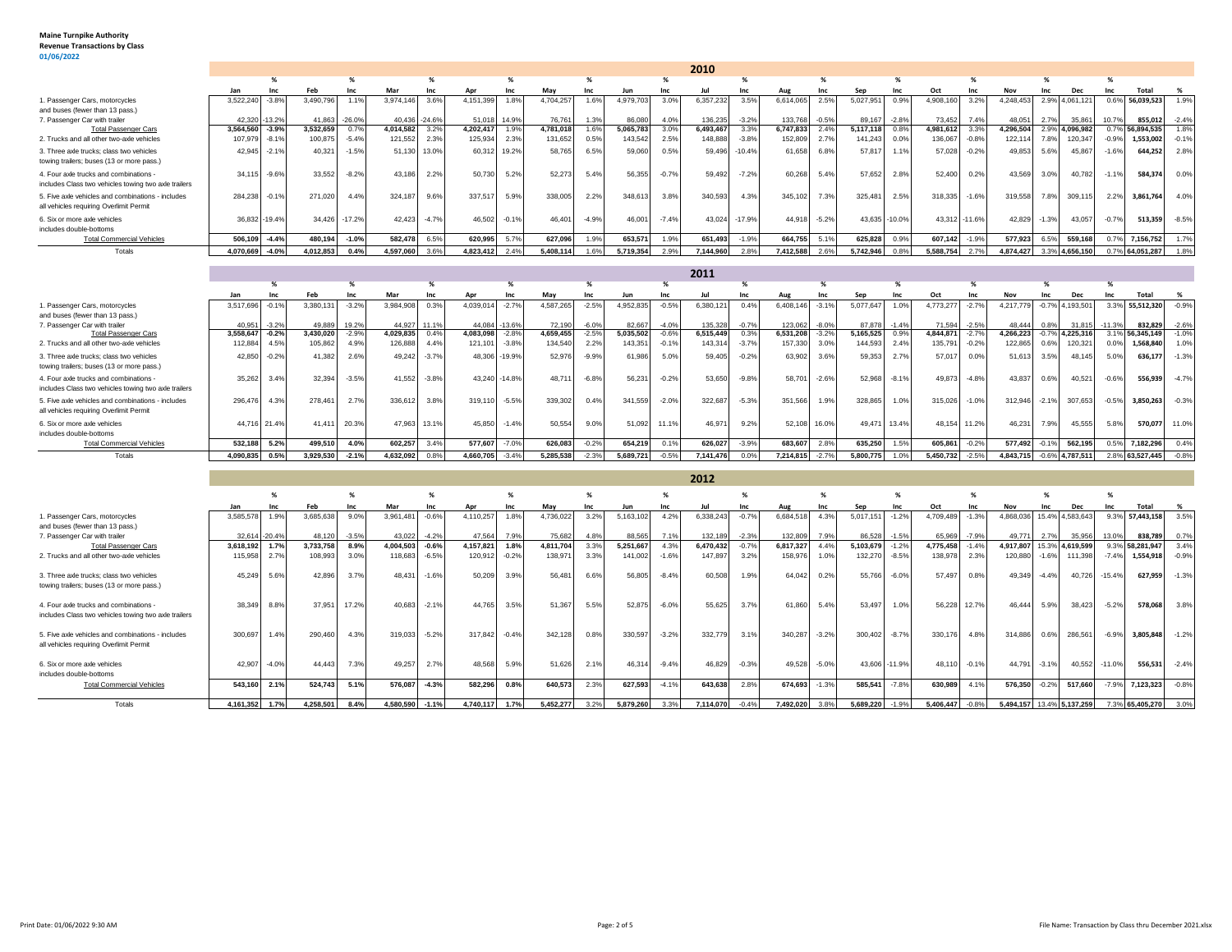## **Maine Turnpike Authority Revenue Transactions by Class 01/06/2022**

|                                                                                                           |                     |                    |           |                  |                     |               |                            |         |                     |                    |                    |                    | 2010                |                 |                      |                     |                    |                 |                    |                    |                         |                 |                   |                              |                       |                    |
|-----------------------------------------------------------------------------------------------------------|---------------------|--------------------|-----------|------------------|---------------------|---------------|----------------------------|---------|---------------------|--------------------|--------------------|--------------------|---------------------|-----------------|----------------------|---------------------|--------------------|-----------------|--------------------|--------------------|-------------------------|-----------------|-------------------|------------------------------|-----------------------|--------------------|
|                                                                                                           |                     | %                  |           | %                |                     | %             |                            | %       |                     | $\gamma$           |                    | %                  |                     | %               |                      |                     |                    | %               |                    | %                  |                         | %               |                   | %                            |                       |                    |
|                                                                                                           | Jan                 | Inc                | Feb       | Inc              | Mar                 | Inc           | Apr                        | Inc     | May                 | Inc                | Jun                | Inc                | Jul                 | Inc             | Aug                  | <b>Inc.</b>         | Sep                | Inc             | Oct                | Inc                | <b>Nov</b>              | Inc             | Dec               | <b>Inc.</b>                  | Total                 | %                  |
| 1. Passenger Cars, motorcycles<br>and buses (fewer than 13 pass.)                                         | 3,522,240           | $-3.89$            | 3,490,796 | 1.1%             | 3,974,146           | 3.6%          | 4,151,399                  | 1.8%    | 4,704,257           | 1.6%               | 4,979,703          | 3.0%               | 6,357,232           | 3.5%            | 6.614.065            | 2.5%                | 5,027,951          | 0.9%            | 4,908,160          | 3.2%               | 4,248,453               | 2.9%            | 4,061,12          | 0.6%                         | 56,039,523            | 1.9%               |
| 7. Passenger Car with trailer                                                                             | 42.320              | 13.29              | 41.86     | $-26.09$         | 40.436              | $-24.69$      | 51.01                      | 14.9%   | 76.76               | 1.3%               | 86.08              | 4.0%               | 136.23              | $-3.2%$         | 133,768              | $-0.59$             | 89.16              | $-2.8%$         | 73.452             | 7.49               | 48.05                   | 2.7%            | 35.86             | 10.7%                        | 855,012               | $-2.4%$            |
| <b>Total Passenger Cars</b>                                                                               | 3.564.560           | $-3.9%$            | 3,532,659 | 0.79             | 4,014,582           | 3.2%          | 4.202.417                  | 1.99    | 4,781,018           | 1.6%               | 5,065,783          | 3.0%               | 6,493,467           | 3.3%            | 6.747.833            | 2.4%                | 5.117.118          | 0.89            | 4,981,612          | 3.3%               | 4,296,504               | 2.9%            | ,096,982          | 0.7 <sup>c</sup>             | 6,894,535             | 1.8%               |
| 2. Trucks and all other two-axle vehicles                                                                 | 107,979             | $-8.1%$            | 100,875   | $-5.4%$          | 121,552             | 2.3%          | 125,934                    | 2.3%    | 131,652             | 0.5%               | 143,542            | 2.5%               | 148,888             | $-3.8%$         | 152,809              | 2.7%                | 141,243            | 0.0%            | 136,067            | $-0.8%$            | 122,114                 | 7.8%            | 120,347           | $-0.9%$                      | 1,553,002             | $-0.1%$            |
| 3. Three axle trucks: class two vehicles<br>towing trailers; buses (13 or more pass.)                     | 42,945              | $-2.1%$            | 40,321    | $-1.59$          | 51,130              | 13.0%         | 60,312 19.2%               |         | 58,765              | 6.5%               | 59,060             | 0.5%               | 59,496              | $-10.4%$        | 61,658               | 6.8%                | 57,817             | 1.1%            | 57,028             | $-0.2%$            | 49,853                  | 5.6%            | 45,867            | $-1.6%$                      | 644,252               | 2.8%               |
| 4. Four axle trucks and combinations -<br>includes Class two vehicles towing two axle trailers            | 34,115              | $-9.6%$            | 33,552    | $-8.29$          | 43,186              | 2.2%          | 50,730                     | 5.2%    | 52,273              | 5.4%               | 56,355             | $-0.7%$            | 59,49               | $-7.2%$         | 60,268               | 5.4%                | 57,65              | 2.8%            | 52,400             | 0.2%               | 43,569                  | 3.0%            | 40,782            | $-1.1%$                      | 584.374               | 0.0%               |
| 5. Five axle vehicles and combinations - includes<br>all vehicles requiring Overlimit Permit              | 284,238             | $-0.1%$            | 271,020   | 4.4%             | 324,187             | 9.6%          | 337,517                    | 5.9%    | 338,005             | 2.2%               | 348,613            | 3.8%               | 340,593             | 4.3%            | 345,102              | 7.3%                | 325,481            | 2.5%            | 318,335            | $-1.6%$            | 319,558                 | 7.8%            | 309,115           | 2.2%                         | 3,861,764             | 4.0%               |
| 6. Six or more axle vehicles<br>includes double-bottoms                                                   | 36.832              | $-19.4%$           | 34.426    | $-17.2%$         | 42,423              | $-4.7%$       | 46,502                     | $-0.1%$ | 46.40               | $-4.99$            | 46,001             | $-7.4%$            | 43,02               | $-17.9%$        | 44.918               | $-5.29$             | 43.635             | $-10.0%$        | 43,312             | $-11.6%$           | 42,829                  | $-1.3%$         | 43,057            | $-0.79$                      | 513,359               | $-8.5%$            |
| <b>Total Commercial Vehicles</b>                                                                          | 506.109             | $-4.4%$            | 480,19    | $-1.0%$          | 582,478             | 6.5%          | 620,995                    | 5.7%    | 627,096             | 1.9%               | 653,57             | 1.9%               | 651,493             | $-1.9%$         | 664.755              | 5.19                | 625,828            | 0.9%            | 607,142            | $-1.9%$            | 577,923                 | 6.5%            | 559,168           | 0.7%                         | 7,156,752             | 1.7%               |
| Totals                                                                                                    | 4.070.66            | $-4.0%$            | 4.012.85  | 0.4%             | 4.597.060           | 3.6%          | 4.823.412                  | 2.4%    | 5.408.114           | 1.6%               | 5.719.354          | 2.9%               | 7.144.96            | 2.8%            | 7.412.588            | 2.6%                | 5.742.946          | 0.8%            | 5.588.754          | 2.7%               | 4.874.427               | 3.3%            | 4.656.150         | 0.7%                         | 64.051.287            | 1.8%               |
|                                                                                                           |                     |                    |           |                  |                     |               |                            |         |                     |                    |                    |                    |                     |                 |                      |                     |                    |                 |                    |                    |                         |                 |                   |                              |                       |                    |
|                                                                                                           |                     | %                  |           | %                |                     | %             |                            | %       |                     | $\frac{9}{6}$      |                    | %                  | 2011                | $\frac{9}{6}$   |                      |                     |                    |                 |                    | %                  |                         | %               |                   |                              |                       |                    |
|                                                                                                           |                     |                    |           |                  |                     |               |                            |         |                     |                    |                    |                    |                     |                 |                      |                     |                    | %               |                    |                    |                         |                 |                   |                              |                       |                    |
|                                                                                                           | Jan                 | Inc                | Feb       | Inc              | Mar                 | Inc           | Apr                        | Inc     | May                 | Inc<br>$-2.5%$     | Jun<br>4,952,835   | Inc<br>$-0.5%$     | Jul<br>6,380,12     | Inc<br>0.4%     | Aug<br>6,408,146     | Inc<br>$-3.19$      | Sep<br>5,077,647   | Inc<br>1.0%     | Oct<br>4,773,277   | Inc<br>$-2.7%$     | <b>Nov</b><br>4.217.779 | Inc             | Dec<br>4,193,50   | Inc                          | Total<br>55,512,320   | %                  |
|                                                                                                           |                     |                    |           |                  |                     |               |                            |         |                     |                    |                    |                    |                     |                 |                      |                     |                    |                 |                    |                    |                         |                 |                   |                              |                       |                    |
| 1. Passenger Cars, motorcycles                                                                            | 3.517.696           | $-0.19$            | 3.380.13  | $-3.29$          | 3,984,908           | 0.3%          | 4.039.014                  | $-2.7%$ | 4,587,265           |                    |                    |                    |                     |                 |                      |                     |                    |                 |                    |                    |                         | $-0.7%$         |                   | 3.3%                         |                       | $-0.9%$            |
| and buses (fewer than 13 pass.)                                                                           |                     |                    | 49.88     |                  |                     |               |                            |         |                     |                    |                    |                    |                     |                 |                      |                     |                    |                 |                    |                    |                         |                 |                   |                              |                       |                    |
| 7. Passenger Car with trailer<br><b>Total Passenger Cars</b>                                              | 40.951<br>3,558,647 | $-3.29$<br>$-0.2%$ | 3,430,02  | 19.2%<br>$-2.99$ | 44.927<br>4,029,835 | 11.19<br>0.49 | 44.084 -13.6%<br>4,083,098 | $-2.89$ | 72.190<br>4,659,455 | $-6.09$<br>$-2.5%$ | 82.66<br>5,035,502 | $-4.0%$<br>$-0.6%$ | 135.32<br>6,515,449 | $-0.7%$<br>0.3% | 123.062<br>6,531,208 | $-8.0$ %<br>$-3.2%$ | 87.87<br>5,165,525 | $-1.4%$<br>0.9% | 71.594<br>4,844,87 | $-2.5%$<br>$-2.7%$ | 48.444<br>4,266,223     | 0.8%<br>$-0.7%$ | 31.81<br>,225,316 | $-11.39$<br>3.1 <sup>6</sup> | 832.829<br>56,345,149 | $-2.6%$<br>$-1.0%$ |
| 2. Trucks and all other two-axle vehicles                                                                 | 112,884             | 4.5%               | 105,862   | 4.9%             | 126,888             | 4.4%          | 121,101                    | $-3.8%$ | 134,540             | 2.2%               | 143,351            | $-0.19$            | 143,31              | $-3.7%$         | 157,330              | 3.0%                | 144,593            | 2.4%            | 135,791            | $-0.2%$            | 122,865                 | 0.6%            | 120,32            | 0.09                         | 1,568,840             | 1.0%               |
| 3. Three axle trucks: class two vehicles<br>towing trailers; buses (13 or more pass.)                     | 42,850              | $-0.2%$            | 41.382    | 2.6%             | 49.242              | $-3.7%$       | 48,306 -19.9%              |         | 52,976              | $-9.99$            | 61,986             | 5.0%               | 59,405              | $-0.2%$         | 63.902               | 3.6%                | 59,353             | 2.7%            | 57,017             | 0.0%               | 51,613                  | 3.5%            | 48,145            | 5.0%                         | 636,177               | $-1.3%$            |
| 4. Four axle trucks and combinations -                                                                    | 35,262              | 3.4%               | 32,394    | $-3.5%$          | 41,552              | $-3.8%$       | 43,240 -14.8%              |         | 48,71               | $-6.8%$            | 56,231             | $-0.2%$            | 53,65               | $-9.8%$         | 58,701               | $-2.6%$             | 52,968             | $-8.1%$         | 49,873             | $-4.8%$            | 43,837                  | 0.6%            | 40,52'            | $-0.6%$                      | 556,939               | $-4.7%$            |
| includes Class two vehicles towing two axle trailers<br>5. Five axle vehicles and combinations - includes | 296,476             | 4.3%               | 278,461   | 2.7%             | 336,612             | 3.8%          | 319,110                    | $-5.5%$ | 339,302             | 0.4%               | 341,559            | $-2.0%$            | 322,687             | $-5.3%$         | 351,566              | 1.9%                | 328,865            | 1.0%            | 315,026            | $-1.0%$            | 312,946                 | $-2.1%$         | 307,653           | $-0.5%$                      | 3,850,263             | $-0.3%$            |
| all vehicles requiring Overlimit Permit                                                                   |                     |                    |           |                  |                     |               |                            |         |                     |                    |                    |                    |                     |                 |                      |                     |                    |                 |                    |                    |                         |                 |                   |                              |                       |                    |
| 6. Six or more axle vehicles                                                                              | 44.716              | 21.4%              | 41,41     | 20.3%            | 47,963              | 13.1%         | 45.850                     | $-1.4%$ | 50,554              | 9.0%               | 51,092             | 11.1%              | 46,97               | 9.2%            | 52,108               | 16.0%               | 49.47              | 13.4%           | 48,154             | 11.2%              | 46,231                  | 7.9%            | 45,555            | 5.8%                         | 570.077               | 11.0%              |
| includes double-bottoms                                                                                   |                     |                    |           |                  |                     |               |                            |         |                     |                    |                    |                    |                     |                 |                      |                     |                    |                 |                    |                    |                         |                 |                   |                              |                       |                    |
| <b>Total Commercial Vehicles</b>                                                                          | 532,18              | 5.2%               | 499,51    | 4.0%             | 602,257             | 3.49          | 577,607                    | $-7.0%$ | 626,083             | $-0.2%$            | 654,21             | 0.1%               | 626,027             | $-3.9%$         | 683,607              | 2.8%                | 635,250            | 1.5%            | 605,861            | $-0.29$            | 577,492                 | $-0.1%$         | 562,195           | 0.5%                         | 7,182,296             | 0.4%               |
| Totals                                                                                                    | 4.090.83            | 0.5%               | 3.929.530 | $-2.1%$          | 4.632.092           | 0.85          | 4.660.705                  | $-3.4%$ | 5.285.538           | $-2.3%$            | 5.689.721          | $-0.5%$            | 7.141.47            | 0.0%            | 7.214.815            | $-2.79$             | 5,800,775          |                 | 5.450.732          | $-2.5%$            | 4.843.715               | $-0.6%$         | 1.787.511         | $2.8^{\circ}$                | 63,527,445            | $-0.8%$            |
|                                                                                                           |                     |                    |           |                  |                     |               |                            |         |                     |                    |                    |                    |                     |                 |                      |                     |                    |                 |                    |                    |                         |                 |                   |                              |                       |                    |
|                                                                                                           |                     |                    |           |                  |                     |               |                            |         |                     |                    |                    |                    | 2012                |                 |                      |                     |                    |                 |                    |                    |                         |                 |                   |                              |                       |                    |
|                                                                                                           |                     | %                  |           | %                |                     | %             |                            | %       |                     | $\gamma$           |                    | %                  |                     | $\frac{9}{6}$   |                      |                     |                    | %               |                    | %                  |                         | %               |                   |                              |                       |                    |
|                                                                                                           | Jan                 | Inc                | Feb       | Inc              | Mar                 | Inc           | Apr                        | Inc     | May                 | Inc                | Jun                | Inc                | Jul                 | Inc             | Aug                  | Inc                 | Sep                | Inc             | Oct                | Inc                | Nov                     | Inc             | Dec               | Inc                          | Total                 | %                  |
| 1. Passenger Cars, motorcycles                                                                            | 3.585.578           | 1.9%               | 3.685.638 | 9.0%             | 3.961.481           | $-0.6%$       | 4,110,257                  | 1.8%    | 4,736,022           | 3.2%               | 5,163,102          | 4.2%               | 6,338,243           | $-0.7%$         | 6,684,518            | 4.3%                | 5,017,151          | $-1.2%$         | 4,709,489          | $-1.3%$            | 4.868.036               | 15.4%           | 1.583.643         | 9.3%                         | 57.443.158            | 3.5%               |
| and buses (fewer than 13 pass.)<br>7. Passenger Car with trailer                                          | 32.614              | $-20.4%$           | 48.120    | $-3.59$          | 43.022              | $-4.2%$       | 47.564                     | 7.9%    | 75.682              | $4.8^{\circ}$      | 88,565             |                    | 132.18              | $-2.3%$         | 132,809              | 7.9%                | 86.52              |                 | 65,969             | $-7.9%$            | 49.771                  | 2.7%            | 35.956            | 13.0%                        | 838.789               | 0.7%               |

Total Passenger Cars 3,618,192 | 1.7% | 3,733,758 | 8.9% | 4,004,503 | 0.6% | 4,157,821 | 1.8% | 4,817,704 | 3.3% | 5,251,667 | 4.3% | 6,470,432 | ○0.7% | 6,817,327 | 4.4% | 5,103,679 | 1.2% | 4,775,458 | 1. 2. Trucks and all other two-axle vehicles | 115,958 2.7% | 108,993 3.0% | 118,683 | 6.5% | 120,912 | 0.2% | 108,971 | 3.3% | 14,002 | 1.6% | 14,7897 | 3.2% | 158,976 | 1.0% | 13,270 | 8.5% | 138,978 | 2.3% | 3. Three axle trucks; class two vehicles 45,249 5.6% 42,896 3.7% 48,431 -1.6% 50,209 3.9% 56,481 6.6% 56,805 -8.4% 60,508 1.9% 64,042 0.2% 55,766 -6.0% 57,497 0.8% 49,349 -4.4% 40,726 -15.4% **627,959** -1.3%

4. Four axle trucks and combinations - 38,349 8.8% 37,951 17.2% 40,683 -2.1% 44,765 3.5% 51,367 5.5% 52,875 -6.0% 55,625 3.7% 61,860 5.4% 53,497 1.0% 56,228 12.7% 46,444 5.9% 38,423 -5.2% **578,068** 3.8%

5. Five axle vehicles and combinations includes | 300,697 1.4% 290,460 4.3% 319,033 5.2% 317,842 -0.4% 342,128 0.8% 330,597 -3.2% 332,779 3.1% 340,287 -3.2% 300,402 -8.7% 300,402 -8.7% 300,402 -8.7% 300,402 -8.9% 3805,848

6. Six or more axle vehicles 42,907 -4.0% 44,443 7.3% 49,257 2.7% 48,568 5.9% 51,626 2.1% 46,314 -9.4% 46,829 -0.3% 49,528 -5.0% 43,606 -11.9% 48,110 -0.1% 44,791 -3.1% 40,552 -11.0% **556,531** -2.4%

Total Commercial Vehicles | 543,160 | 2.1% | 524,743 | 5.1% | 576,087 | 4.3% | 582,296 | 0.8% | 640,573 | 2.3% | 627,593 | 4.1% | 640,583 | 2.8% | 674,683 | 1.3% | 585,541 -7.8% | 7.8% | 576,350 -0.2% | 517,66

towing trailers; buses (13 or more pass.)

all vehicles requiring Overlimit Permit

includes Class two vehicles towing two axle trailers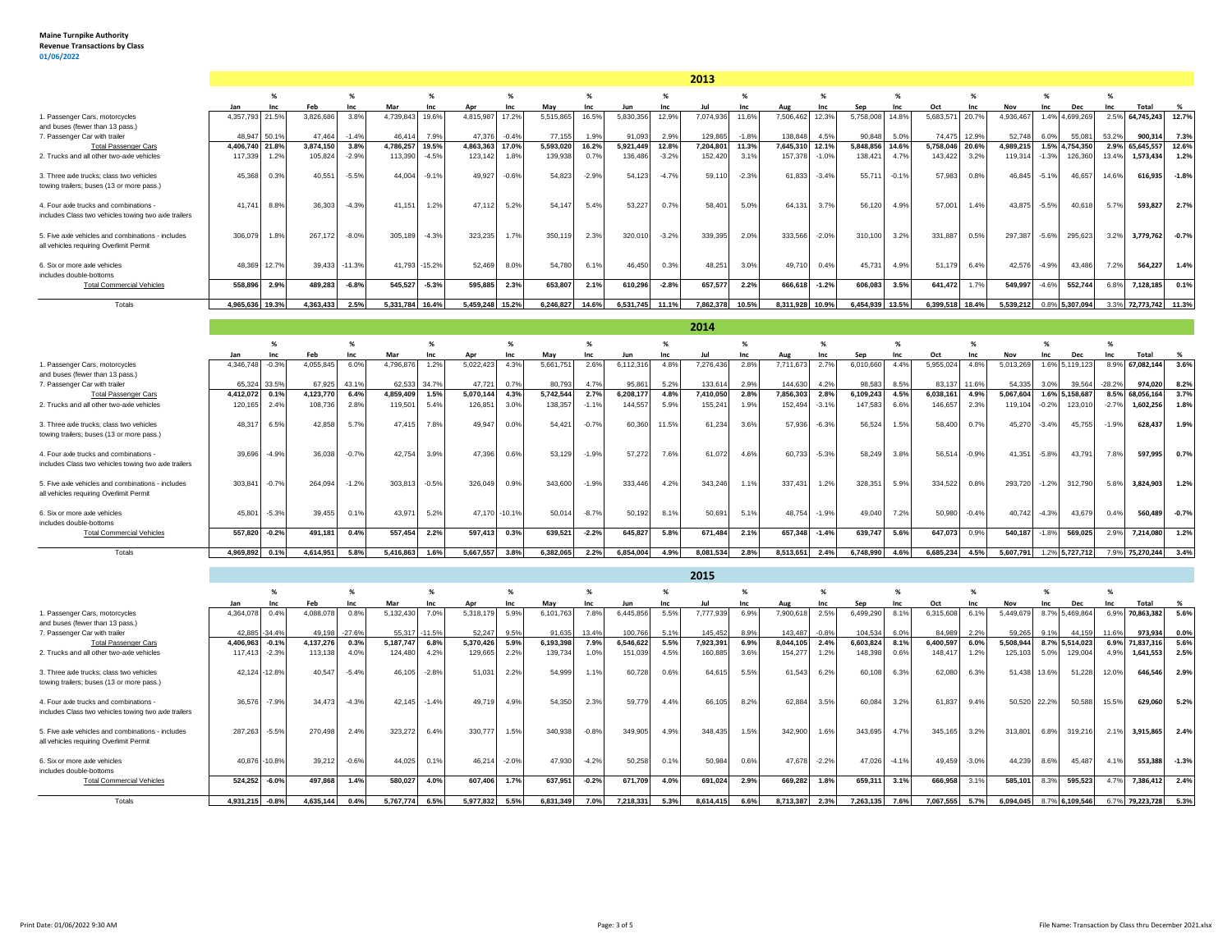|                                                                                                |                 |         |           |          |           |             |                 |         |           |         |           |         | 2013      |         |           |         |           |         |                 |       |           |         |                |          |                  |         |
|------------------------------------------------------------------------------------------------|-----------------|---------|-----------|----------|-----------|-------------|-----------------|---------|-----------|---------|-----------|---------|-----------|---------|-----------|---------|-----------|---------|-----------------|-------|-----------|---------|----------------|----------|------------------|---------|
|                                                                                                |                 | %       |           | %        |           | %           |                 | %       |           | %       |           | %       |           | %       |           | %       |           | %       |                 | %     |           | %       |                | %        |                  |         |
|                                                                                                | Jan             | Inc     |           | Inc      | Mar       | Inc         | Apr             | Inc     | May       | Inc     | Jun       | Inc     | Jul       | Inc     | Aug       | Inc     |           | Inc     | Oct             | Inc   | Nov       | Inc     | Dec            | Inc      | Total            | %       |
| 1. Passenger Cars, motorcycles<br>and buses (fewer than 13 pass.)                              | 4.357.793       | 21.5%   | 3,826,686 | 3.8%     | 4,739,843 | 19.6%       | 4,815,987       | 17.2%   | 5,515,86  | 16.5%   | 5,830,356 | 12.9%   | 7,074,936 | 11.6%   | 7,506,462 | 12.3%   | 5,758,008 | 14.8%   | 5,683,57        | 20.79 | 4.936.467 |         | 1.4% 4.699.269 | 2.5%     | 64.745.243       | 12.7%   |
| 7. Passenger Car with trailer                                                                  | 48.947 50.1%    |         | 47.464    | $-1.4%$  | 46.414    | 7.9%        | 47.376          | $-0.4%$ | 77.155    | 1.9%    | 91.093    | 2.9%    | 129,865   | $-1.8%$ | 138,848   | 4.5%    | 90,848    | 5.0%    | 74.475 12.9%    |       | 52,748    | 6.0%    | 55,081         | 53.2%    | 900,31           | 7.3%    |
| <b>Total Passenger Cars</b>                                                                    | 4.406.740 21.8% |         | 3.874.150 | 3.8%     | 4.786.257 | 19.5%       | 4.863.363       | 17.0%   | 5,593,02  | 16.2%   | 5.921.449 | 12.8%   | 7,204,801 | 11.3%   | 7.645.310 | 12.1%   | 5.848.856 | 14.6%   | 5.758.046 20.6% |       | 4.989.215 |         | 1.5% 4.754.350 | 2.9%     | 65,645,557       | 12.6%   |
| 2. Trucks and all other two-axle vehicles                                                      | 117,339         | 1.2%    | 105,824   | $-2.9%$  | 113,390   | $-4.5%$     | 123,142         | 1.8%    | 139,938   | 0.7%    | 136,486   | $-3.2%$ | 152,420   | 3.1%    | 157,378   | $-1.0%$ | 138,421   | 4.7%    | 143,422         | 3.2%  | 119,314   | $-1.3%$ | 126,360        | 13.4%    | 1,573,434        | 1.2%    |
| 3. Three axle trucks: class two vehicles<br>towing trailers; buses (13 or more pass.)          | 45,368          | 0.3%    | 40,551    | $-5.5%$  | 44,004    | $-9.19$     | 49,927          | $-0.6%$ | 54,82     | $-2.9%$ | 54,123    | $-4.7%$ | 59,11     | $-2.3%$ | 61.833    | $-3.4%$ | 55,71     | $-0.1%$ | 57,983          | 0.8%  | 46,845    | $-5.1%$ | 46,657         | 14.6%    | 616,935          | $-1.8%$ |
| 4. Four axle trucks and combinations -<br>includes Class two vehicles towing two axle trailers | 41.741          | 8.8%    | 36,303    | $-4.3%$  | 41.151    | 1.2%        | 47.112          | 5.2%    | 54.14     | 5.4%    | 53,227    | 0.7%    | 58,40     | 5.0%    | 64.131    | 3.7%    | 56,120    | 4.9%    | 57.001          | 1.4%  | 43,875    | $-5.5%$ | 40.618         | 5.7%     | 593,827          | 2.7%    |
| 5. Five axle vehicles and combinations - includes<br>all vehicles requiring Overlimit Permit   | 306.079         | 1.8%    | 267.172   | $-8.0%$  | 305.189   | $-4.3%$     | 323.235         | 1.7%    | 350.11    | 2.3%    | 320,010   | $-3.2%$ | 339,395   | 2.0%    | 333,566   | $-2.0%$ | 310,100   | 3.2%    | 331.887         | 0.5%  | 297.387   | $-5.6%$ | 295,623        | 3.2%     | 3,779,762        | $-0.7%$ |
| 6. Six or more axle vehicles<br>includes double-bottoms                                        | 48,369          | 12.7%   | 39.433    | $-11.3%$ | 41.793    | $-15.2%$    | 52,469          | 8.0%    | 54.78     | 6.19    | 46,450    | 0.3%    | 48,251    | 3.0%    | 49.710    | 0.4%    | 45,731    | 4.9%    | 51,179          | 6.4%  | 42,576    | $-4.9%$ | 43.486         | 7.2%     | 564,227          | 1.4%    |
| <b>Total Commercial Vehicles</b>                                                               | 558.896         | 2.9%    | 489,283   | $-6.8%$  | 545,527   | $-5.3%$     | 595,885         | 2.3%    | 653,80    | 2.1%    | 610,296   | $-2.8%$ | 657,577   | 2.2%    | 666,618   | $-1.2%$ | 606,083   | 3.5%    | 641.472         | 1.7%  | 549,997   | $-4.6%$ | 552,744        | 6.8%     | 7,128,185        | 0.1%    |
| Totals                                                                                         | 4.965.636       | 19.3%   | 4.363.433 | 2.5%     | 5.331.784 | 16.4%       | 5.459.248 15.2% |         | 6.246.827 | 14.6%   | 6.531.745 | 11.1%   | 7.862.378 | 10.5%   | 8.311.928 | 10.9%   | 6.454.939 | 13.5%   | 6.399.518 18.4% |       | 5.539.212 |         | 0.8% 5,307,094 | 3.3%     | 72,773,742 11.3% |         |
|                                                                                                |                 |         |           |          |           |             |                 |         |           |         |           |         | 2014      |         |           |         |           |         |                 |       |           |         |                |          |                  |         |
|                                                                                                |                 |         |           | %        |           | %           |                 | %       |           | %       |           | %       |           |         |           | %       |           | %       |                 | %     |           | %       |                | %        |                  |         |
|                                                                                                | Jan             | Inc     | Feb       | Inc      | Mar       | <b>Inc.</b> | Apr             | Inc     | May       | Inc     | Jun       | Inc     | Jul       | Inc     | Aug       | Inc     | Sen       | Inc     | Oct             | Inc   | Nov       | Inc     | <b>Dec</b>     | Inc      | Total            | %       |
| 1. Passenger Cars, motorcycles<br>and buses (fewer than 13 pass.)                              | 4.346.748       | $-0.3%$ | 4,055,845 | 6.0%     | 4,796,876 | 1.2%        | 5,022,423       | 4.3%    | 5.661.75  | 2.6%    | 6,112,316 | 4.8%    | 7,276,436 | 2.8%    | 7,711,673 | 2.7%    | 6,010,660 | 4.4%    | 5,955,024       | 4.8%  | 5,013,269 |         | 1.6% 5.119.123 | 8.9%     | 67,082,144       | 3.6%    |
| 7. Passenger Car with trailer                                                                  | 65,324 33.5%    |         | 67,925    | 43.1%    | 62.533    | 34.7%       | 47.721          | 0.7%    | 80.793    | 4.7%    | 95,861    | 5.2%    | 133,614   | 2.9%    | 144.630   | 4.2%    | 98,583    | 8.5%    | 83.137          | 11.6% | 54,335    | 3.0%    | 39,564         | $-28.2%$ | 974,020          | 8.2%    |

| 7. Passenger Car with trailer                                                         |                | 65,324 33.5% | 67.925    | 43.1%   | 62,533 34.7% |         | 47,721    | 0.7%          | 80,793    | 4.7%    | 95.861    | 5.2%  | 133,614   | 2.9% | 144,630   | 4.2%    | 98.583    | 8.5% | 83,137 11.6% |         | 54.335    | 3.0%    | 39,564         | $-28.2%$ | 974,020    | 8.2%    |
|---------------------------------------------------------------------------------------|----------------|--------------|-----------|---------|--------------|---------|-----------|---------------|-----------|---------|-----------|-------|-----------|------|-----------|---------|-----------|------|--------------|---------|-----------|---------|----------------|----------|------------|---------|
| <b>Total Passenger Cars</b>                                                           | 4,412,072 0.1% |              | 1,123,770 | 6.4%    | 4,859,409    | 1.5%    | 5,070,144 | 4.3%          | 5,742,544 | 2.7%    | 6,208,177 | 4.8%  | 7,410,050 | 2.8% | 7,856,303 | 2.8%    | 6,109,243 | 4.5% | 6,038,161    | 4.9%    | 5,067,604 |         | 1.6% 5.158.687 | 8.5%     | 68,056,164 | 3.7%    |
| 2. Trucks and all other two-axle vehicles                                             | 120,165 2.4%   |              | 108,736   | 2.8%    | 119,501      | 5.4%    | 126,851   | 3.0%          | 138,357   | $-1.1%$ | 144.557   | 5.9%  | 155,241   | 1.9% | 152.494   | $-3.1%$ | 147,583   | 6.6% | 146,657      | 2.3%    | 119,104   | $-0.2%$ | 123,010        | $-2.79$  | 1,602,256  | 1.8%    |
| 3. Three axle trucks: class two vehicles<br>towing trailers; buses (13 or more pass.) | 48,317         | 6.5%         | 42.858    | 5.7%    | 47.415       | 7.8%    | 49.947    | 0.0%          | 54.42     | $-0.7%$ | 60,360    | 11.5% | 61.234    | 3.6% | 57.936    | $-6.3%$ | 56.524    | 1.5% | 58,400       | 0.7%    | 45.270    | $-3.4%$ | 45.755         | $-1.9%$  | 628.437    | 1.9%    |
| 4. Four axle trucks and combinations -                                                | 39,696         | $-4.9%$      | 36,038    | $-0.7%$ | 42.754       | 3.9%    | 47.396    | 0.6%          | 53.129    | $-1.9%$ | 57,272    | 7.6%  | 61,072    | 4.6% | 60.733    | $-5.3%$ | 58,249    | 3.8% | 56,514       | $-0.9%$ | 41.351    | $-5.8%$ | 43,791         | 7.8%     | 597,995    | 0.7%    |
| includes Class two vehicles towing two axle trailers                                  |                |              |           |         |              |         |           |               |           |         |           |       |           |      |           |         |           |      |              |         |           |         |                |          |            |         |
| 5. Five axle vehicles and combinations - includes                                     | 303,841 -0.7%  |              | 264.094   | $-1.2%$ | 303,813      | $-0.5%$ | 326,049   | 0.9%          | 343,600   | $-1.9%$ | 333,446   | 4.2%  | 343,246   | 1.1% | 337,431   | 1.2%    | 328,351   | 5.9% | 334,522      | 0.8%    | 293,720   | $-1.2%$ | 312,790        | 5.89     | 3,824,903  | 1.2%    |
| all vehicles requiring Overlimit Permit                                               |                |              |           |         |              |         |           |               |           |         |           |       |           |      |           |         |           |      |              |         |           |         |                |          |            |         |
| 6. Six or more axle vehicles<br>includes double-bottoms                               | 45,801         | $-5.3%$      | 39,455    | 0.1%    | 43,971       | 5.2%    |           | 47,170 -10.1% | 50,014    | $-8.7%$ | 50,192    | 8.1%  | 50,691    | 5.1% | 48.754    | $-1.9%$ | 49,040    | 7.2% | 50,980 -0.4% |         | 40.742    | $-4.3%$ | 43,679         | 0.4%     | 560,489    | $-0.7%$ |
| <b>Total Commercial Vehicles</b>                                                      | 557,820 -0.2%  |              | 491,181   | 0.4%    | 557,454      | 2.2%    | 597,413   | 0.3%          | 639,521   | $-2.2%$ | 645,827   | 5.8%  | 671.484   | 2.1% | 657.34    | $-1.4%$ | 639,747   | 5.6% | 647,073      | 0.9%    | 540,187   | $-1.8%$ | 569,025        | 2.9°     | 7,214,080  | 1.2%    |
|                                                                                       |                |              |           |         |              |         |           |               |           |         |           |       |           |      |           |         |           |      |              |         |           |         |                |          |            |         |
| Totals                                                                                | 4,969,892      | 0.1%         | 4,614,951 | 5.8%    | 5,416,863    | 1.6%    | 5,667,557 | 3.8%          | 6,382,065 | 2.2%    | 6,854,004 | 4.9%  | 8,081,534 | 2.8% | 8,513,651 | 2.4%    | 6.748.990 | 4.6% | 6,685,234    | 4.5%    | 5,607,791 |         | 1.2% 5,727,712 | 7.9%     | 75.270.244 | 3.4%    |
|                                                                                       |                |              |           |         |              |         |           |               |           |         |           |       | 2015      |      |           |         |           |      |              |         |           |         |                |          |            |         |

|                                                                                                | Jan             |                | Feb       | Inc      | Mar       | Inc           | Apr       | Inc     | May       | Inc     |           | Inc  |           | Inc  | Aug       |         |           | Inc     | Oct       |         | Nov       | Inc   |                | Inc   | <b>Total</b> |         |
|------------------------------------------------------------------------------------------------|-----------------|----------------|-----------|----------|-----------|---------------|-----------|---------|-----------|---------|-----------|------|-----------|------|-----------|---------|-----------|---------|-----------|---------|-----------|-------|----------------|-------|--------------|---------|
| 1. Passenger Cars, motorcycles                                                                 | 4.364.07        | 0.49           | 1,088,07  | 0.8%     | 132,430   |               | 5,318,17  | 5.9%    | 6,101,763 | 7.8%    | 6,445,856 |      | 7,777,939 | 6.9% | 7,900,61  | 2.5%    | 6,499,290 |         | 6,315,608 |         | 5,449,67  |       | 8.7% 5,469,86  | 6.9%  | 70,863,382   | 5.6%    |
| and buses (fewer than 13 pass.)                                                                |                 |                |           |          |           |               |           |         |           |         |           |      |           |      |           |         |           |         |           |         |           |       |                |       |              |         |
| 7. Passenger Car with trailer                                                                  |                 | 42.885 - 34.4% | 49.198    | $-27.6%$ |           | 55.317 -11.5% | 52.247    | 9.5%    | 91.635    | 13.4%   | 100,766   | 5.1% | 145,452   | 8.9% | 143.487   | $-0.8%$ | 104,534   | 6.0%    | 84.989    | 2.2%    | 59.265    | 9.1%  | 44,159         | 11.6% | 973,934      | $0.0\%$ |
| <b>Total Passenger Cars</b>                                                                    | 4,406,963       | $-0.1%$        | 4,137,276 | 0.3%     | 5,187,747 | 6.8%          | 5,370,426 | 5.9%    | 6,193,398 | 7.9%    | 6,546,622 | 5.5% | 7,923,391 | 6.9% | 8,044,105 | 2.4%    | 6,603,824 | 8.1%    | 6,400,597 | 6.0%    | 5,508,944 |       | 8.7% 5,514,023 | 6.9%  | 71,837,316   | 5.6%    |
| 2. Trucks and all other two-axle vehicles                                                      | 117,413         | $-2.3%$        | 113,138   | 4.0%     | 124,480   | 4.2%          | 129,665   | 2.2%    | 139,734   | 1.0%    | 151,039   | 4.5% | 160,885   | 3.6% | 154,27    | 1.2%    | 148,39    | 0.6%    | 148,417   | 1.2%    | 125,103   | 5.0%  | 129,00         | 4.9%  | 1,641,553    | 2.5%    |
| 3. Three axle trucks; class two vehicles<br>towing trailers; buses (13 or more pass.)          | 42.124          | $-12.8%$       | 40.547    | $-5.4%$  | 46.105    | $-2.8%$       | 51,031    | 2.2%    | 54,999    | 1.1%    | 60.728    | 0.6% | 64,61     | 5.5% | 61.543    | 6.2%    | 60,108    | 6.3%    | 62,080    | 6.3%    | 51,438    | 13.6% | 51,228         | 12.0% | 646,546      | 2.9%    |
| 4. Four axle trucks and combinations -<br>includes Class two vehicles towing two axle trailers | 36,576          | $-7.9%$        | 34,473    | $-4.3%$  | 42.145    | $-1.4%$       | 49.71     | 4.9%    | 54,350    | 2.3%    | 59,779    | 4.4% | 66,105    | 8.2% | 62.884    | 3.5%    | 60,084    | 3.2%    | 61.837    | 9.4%    | 50,520    | 22.2% | 50,58          | 15.5% | 629,060      | 5.2%    |
| 5. Five axle vehicles and combinations - includes<br>all vehicles requiring Overlimit Permit   | 287,263         | $-5.5%$        | 270.498   | 2.4%     | 323,272   | 6.4%          | 330,777   | 1.5%    | 340,938   | $-0.8%$ | 349,905   | 4.9% | 348,435   | 1.5% | 342,900   | 1.6%    | 343,695   | 4.7%    | 345,165   | 3.2%    | 313,80    | 6.8%  | 319,216        | 2.1%  | 3,915,865    | 2.4%    |
| 6. Six or more axle vehicles<br>includes double-bottoms                                        | 40,87           | $-10.8%$       | 39,212    | $-0.6%$  | 44.025    | 0.1%          | 46.21     | $-2.0%$ | 47,930    | $-4.2%$ | 50,258    | 0.1% | 50,984    | 0.6% | 47.678    | $-2.2%$ | 47,02     | $-4.1%$ | 49.459    | $-3.0%$ | 44.239    | 8.6%  | 45.48          | 4.1%  | 553,388      | $-1.3%$ |
| <b>Total Commercial Vehicles</b>                                                               | 524,252         | $-6.0%$        | 497,86    | 1.4%     | 580,027   | 4.0%          | 607,40    | 1.7%    | 637,951   | $-0.2%$ | 671,709   | 4.0% | 691,024   | 2.9% | 669,282   | 1.8%    | 659,31    | 3.1%    | 666,958   | 3.1%    | 585,101   | 8.3%  | 595,523        | 4.7%  | 7,386,412    | 2.4%    |
| Totals                                                                                         | 4,931,215 -0.8% |                | 4,635,144 | 0.4%     | 5,767,774 | 6.5%          | 5,977,832 | 5.5%    | 6,831,349 | 7.0%    | 7,218,331 | 5.3% | 8.614.415 | 6.6% | 8,713,387 | 2.3%    | 7,263,135 | 7.6%    | 7,067,555 | 5.7%    | 6,094,045 |       | 8.7% 6,109,546 | 6.7%  | 79,223,728   | 5.3%    |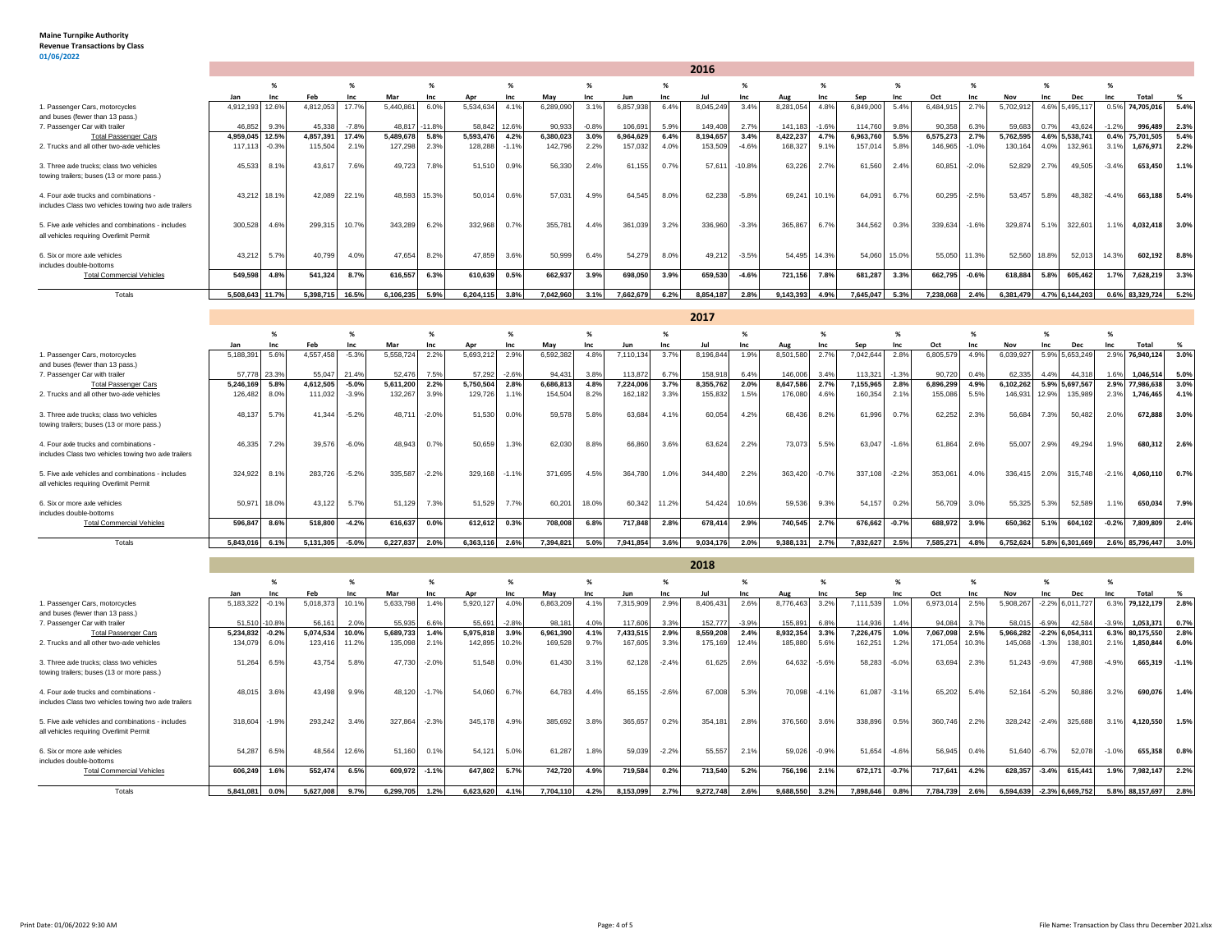## **Maine Turnpike Authority Revenue Transactions by Class 01/06/2022**

|                                                      |           |         |           |         |           |            |           |         |           |         |           |      | 2016      |          |               |       |          |       |           |         |           |       |            |         |                 |      |
|------------------------------------------------------|-----------|---------|-----------|---------|-----------|------------|-----------|---------|-----------|---------|-----------|------|-----------|----------|---------------|-------|----------|-------|-----------|---------|-----------|-------|------------|---------|-----------------|------|
|                                                      |           |         |           | %       |           | %          |           | %       |           |         |           | %    |           |          |               |       |          |       |           |         |           |       |            |         |                 |      |
|                                                      | Jan       | Inc     |           | Inc     | Mar       | <b>Inc</b> | Apr       | Inc     | May       |         | Jun       | Inc  | Ju        | Inc      | Aug           | Inc   | Sep      |       | Oct       | Inc     | Nov       | Inc   | <b>Dec</b> |         | Total           |      |
| 1. Passenger Cars, motorcycles                       | 4,912,193 | 12.6%   | 4,812,053 | 17.7%   | 5,440,861 | 6.0%       | 5,534,634 | 4.1%    | 6,289,090 | 3.1%    | 6,857,938 | 6.4% | 8,045,249 | 3.4%     | 8,281,054     | 4.8%  | 6,849,00 | 5.4%  | 6,484,915 | 2.7%    | 5,702,912 | 4.6%  | 5,495,117  | 0.5%    | 74,705,016      | 5.4% |
| and buses (fewer than 13 pass.)                      |           |         |           |         |           |            |           |         |           |         |           |      |           |          |               |       |          |       |           |         |           |       |            |         |                 |      |
| 7. Passenger Car with trailer                        | 46.852    | 9.3%    | 45.338    | $-7.8%$ | 48.817    | $-11.8%$   | 58.842    | 12.6%   | 90.933    | $-0.8%$ | 106.691   | 5.9% | 149,408   | 2.7%     | 141.183 -1.6% |       | 114,760  | 9.8%  | 90.358    | 6.3%    | 59.683    | 0.7%  | 43,624     | $-1.2%$ | 996,489         | 2.3% |
| <b>Total Passenger Cars</b>                          | 4,959,045 | 12.5%   | 4,857,391 | 17.4%   | 5,489,678 | 5.8%       | 5,593,476 | 4.2%    | 6,380,023 | 3.0%    | 6,964,629 | 6.4% | 8,194,657 | 3.4%     | 8,422,237     | 4.7%  | 6,963,76 | 5.5%  | 6,575,273 | 2.7%    | 5,762,595 | 4.6%  | 5,538,741  | 0.4%    | 75,701,505      | 5.4% |
| 2. Trucks and all other two-axle vehicles            | 117,11    | $-0.3%$ | 115,504   | 2.1%    | 127,298   | 2.3%       | 128,288   | $-1.1%$ | 142,796   | 2.2%    | 157,032   | 4.0% | 153,509   | $-4.6%$  | 168,327       | 9.1%  | 157,0'   | 5.8%  | 146,965   | $-1.0%$ | 130,164   | 4.0%  | 132,961    | 3.1%    | 1,676,971       | 2.2% |
|                                                      |           |         |           |         |           |            |           |         |           |         |           |      |           |          |               |       |          |       |           |         |           |       |            |         |                 |      |
| 3. Three axle trucks: class two vehicles             | 45,533    | 8.1%    | 43.617    | 7.6%    | 49.723    | 7.8%       | 51,510    | 0.9%    | 56,330    | 2.4%    | 61.155    | 0.7% | 57,611    | $-10.8%$ | 63.226        | 2.7%  | 61,56    | 2.4%  | 60.851    | $-2.0%$ | 52,829    | 2.7%  | 49,505     | $-3.4%$ | 653.450         | 1.1% |
| towing trailers; buses (13 or more pass.)            |           |         |           |         |           |            |           |         |           |         |           |      |           |          |               |       |          |       |           |         |           |       |            |         |                 |      |
|                                                      |           |         |           |         |           |            |           |         |           |         |           |      |           |          |               |       |          |       |           |         |           |       |            |         |                 |      |
| 4. Four axle trucks and combinations -               | 43,212    | 18.1%   | 42.08     | 22.1%   | 48.593    | 15.3%      | 50.014    | 0.6%    | 57.031    | 4.9%    | 64.545    | 8.0% | 62,238    | $-5.8%$  | 69.241        | 10.1% | 64.09    | 6.7%  | 60,295    | $-2.5%$ | 53,457    | 5.8%  | 48.382     | $-4.4%$ | 663,188         | 5.4% |
| includes Class two vehicles towing two axle trailers |           |         |           |         |           |            |           |         |           |         |           |      |           |          |               |       |          |       |           |         |           |       |            |         |                 |      |
|                                                      |           |         |           |         |           |            |           |         |           |         |           |      |           |          |               |       |          |       |           |         |           |       |            |         |                 |      |
| 5. Five axle vehicles and combinations - includes    | 300,528   | 4.6%    | 299.315   | 10.7%   | 343,289   | 6.2%       | 332,968   | 0.7%    | 355,781   | 4.4%    | 361,039   | 3.2% | 336,960   | $-3.3%$  | 365,867       | 6.7%  | 344,562  | 0.3%  | 339,634   | $-1.6%$ | 329,874   | 5.1%  | 322,601    | 1.1%    | 4.032.418       | 3.0% |
| all vehicles requiring Overlimit Permit              |           |         |           |         |           |            |           |         |           |         |           |      |           |          |               |       |          |       |           |         |           |       |            |         |                 |      |
|                                                      |           |         |           |         |           |            |           |         |           |         |           |      |           |          |               |       |          |       |           |         |           |       |            |         |                 |      |
| 6. Six or more axle vehicles                         | 43,212    | 5.7%    | 40,799    | 4.0%    | 47,654    | 8.2%       | 47,859    | 3.6%    | 50,999    | 6.4%    | 54,279    | 8.0% | 49,212    | $-3.5%$  | 54,495 14.3%  |       | 54,06    | 15.0% | 55,050    | 11.3%   | 52,560    | 18.8% | 52,013     | 14.3%   | 602,192         | 8.8% |
| includes double-bottoms                              |           |         |           |         |           |            |           |         |           |         |           |      |           |          |               |       |          |       |           |         |           |       |            |         |                 |      |
| <b>Total Commercial Vehicles</b>                     | 549,598   | 4.8%    | 541,324   | 8.7%    | 616,557   | 6.3%       | 610,639   | 0.5%    | 662,937   | 3.9%    | 698,050   | 3.9% | 659,530   | $-4.6%$  | 721,156       | 7.8%  | 681,287  | 3.3%  | 662,795   | $-0.6%$ | 618,884   | 5.8%  | 605,462    | 1.7%    | 7,628,219       | 3.3% |
|                                                      |           |         |           |         |           |            |           |         |           |         |           |      |           |          |               |       |          |       |           |         |           |       |            |         |                 |      |
| Totals                                               | 5,508,643 | 11.7%   | 5,398,715 | 16.5%   | 6,106,235 | 5.9%       | 6,204,115 | 3.8%    | 7,042,960 | 3.1%    | 7,662,679 | 6.2% | 8,854,187 | 2.8%     | 9,143,393     | 4.9%  | 7,645,04 | 5.3%  | 7,238,068 | 2.4%    | 6,381,479 | 4.7%  | 6,144,203  |         | 0.6% 83,329,724 | 5.2% |
|                                                      |           |         |           |         |           |            |           |         |           |         |           |      |           |          |               |       |          |       |           |         |           |       |            |         |                 |      |
|                                                      |           |         |           |         |           |            |           |         |           |         |           |      | 2017      |          |               |       |          |       |           |         |           |       |            |         |                 |      |
|                                                      |           |         |           |         |           |            |           |         |           |         |           |      |           |          |               |       |          |       |           |         |           |       |            |         |                 |      |

|                                                      | Jan       | Inr          |           | Inc.    | Mar       | <b>Inc</b> |           | Inc     | Mav       | <b>Inc.</b> | Jun       | <b>Inc.</b>  |           | <b>Inc.</b> | Aug       |         | Sep       |         | Oct       |      | Nov       | Inc   |                | <b>Inc.</b> | Total           |      |
|------------------------------------------------------|-----------|--------------|-----------|---------|-----------|------------|-----------|---------|-----------|-------------|-----------|--------------|-----------|-------------|-----------|---------|-----------|---------|-----------|------|-----------|-------|----------------|-------------|-----------------|------|
| . Passenger Cars, motorcycles                        | 5,188,391 | 5.6%         | 4,557,458 | $-5.3%$ | 5,558,724 | 2.2%       | 5,693,212 | 2.9%    | 6,592,382 | 4.8%        | 7,110,134 | 3.7%         | 8,196,844 | 1.9%        | 8,501,580 | 2.7%    | 042,644   |         | 6,805,579 | 4.9% | 6,039,927 |       | 5.9% 5,653,249 | 2.9%        | 76,940,124      | 3.0% |
| and buses (fewer than 13 pass.)                      |           |              |           |         |           |            |           |         |           |             |           |              |           |             |           |         |           |         |           |      |           |       |                |             |                 |      |
| 7. Passenger Car with trailer                        |           | 57,778 23.3% | 55.047    | 21.4%   | 52.476    | 7.5%       | 57,292    | $-2.6%$ | 94.431    | 3.8%        | 113,872   | 6.7%         | 158,918   | 6.4%        | 146,006   | 3.4%    | 113,321   | $-1.3%$ | 90,720    | 0.4% | 62,335    | 4.4%  | 44,318         | 1.6%        | 1,046,514       | 5.0% |
| <b>Total Passenger Cars</b>                          | 5,246,169 | 5.8%         | 4,612,505 | $-5.0%$ | 5.611.200 | 2.2%       | 5,750,504 | 2.8%    | 6,686,813 | 4.8%        | 7,224,006 | 3.7%         | 8,355,762 | 2.0%        | 8,647,586 | 2.7%    | 7,155,965 | 2.8%    | 6,896,299 | 4.9% | 6,102,262 |       | 5.9% 5,697,567 |             | 2.9% 77,986,638 | 3.0% |
| 2. Trucks and all other two-axle vehicles            | 126,482   | 8.0%         | 111,032   | $-3.9%$ | 132,267   | 3.9%       | 129,726   | 1.1%    | 154,504   | 8.2%        | 162,182   | 3.3%         | 155,832   | 1.5%        | 176,080   | 4.6%    | 160,354   | 2.1%    | 155,086   | 5.5% | 146,931   | 12.9% | 135,989        | 2.3%        | 1,746,465       | 4.1% |
|                                                      |           |              |           |         |           |            |           |         |           |             |           |              |           |             |           |         |           |         |           |      |           |       |                |             |                 |      |
| 3. Three axle trucks: class two vehicles             | 48,137    | 5.7%         | 41.344    | $-5.2%$ | 48.71     | $-2.0%$    | 51.530    | 0.0%    | 59,578    | 5.8%        | 63,684    | 4.1%         | 60,054    | 4.2%        | 68,436    | 8.2%    | 61,996    | 0.7%    | 62.252    | 2.3% | 56,684    | 7.3%  | 50,482         | 2.0%        | 672,888         | 3.0% |
| towing trailers; buses (13 or more pass.)            |           |              |           |         |           |            |           |         |           |             |           |              |           |             |           |         |           |         |           |      |           |       |                |             |                 |      |
|                                                      |           |              |           |         |           |            |           |         |           |             |           |              |           |             |           |         |           |         |           |      |           |       |                |             |                 |      |
| 4. Four axle trucks and combinations -               | 46,335    | 7.2%         | 39,576    | $-6.0%$ | 48.943    | 0.7%       | 50,659    | 1.3%    | 62,030    | 8.8%        | 66,860    | 3.6%         | 63,624    | 2.2%        | 73.073    | 5.5%    | 63,047    | $-1.6%$ | 61.864    | 2.6% | 55,007    | 2.9%  | 49,29          | 1.9%        | 680,312         | 2.6% |
| includes Class two vehicles towing two axle trailers |           |              |           |         |           |            |           |         |           |             |           |              |           |             |           |         |           |         |           |      |           |       |                |             |                 |      |
|                                                      |           |              |           |         |           |            |           |         |           |             |           |              |           |             |           |         |           |         |           |      |           |       |                |             |                 |      |
| 5. Five axle vehicles and combinations - includes    | 324,922   | 8.1%         | 283,726   | $-5.2%$ | 335,587   | $-2.2%$    | 329,168   | $-1.1%$ | 371,695   | 4.5%        | 364,780   | 1.0%         | 344,480   | 2.2%        | 363,420   | $-0.7%$ | 337,108   | $-2.2%$ | 353,061   | 4.0% | 336,415   | 2.0%  | 315,748        | $-2.19$     | 4,060,110       | 0.7% |
| all vehicles requiring Overlimit Permit              |           |              |           |         |           |            |           |         |           |             |           |              |           |             |           |         |           |         |           |      |           |       |                |             |                 |      |
|                                                      |           |              |           |         |           |            |           |         |           |             |           |              |           |             |           |         |           |         |           |      |           |       |                |             |                 |      |
| 6. Six or more axle vehicles                         |           | 50,971 18.0% | 43.122    | 5.7%    | 51,129    | 7.3%       | 51,529    | 7.7%    | 60.201    | 18.0%       |           | 60,342 11.2% | 54.424    | 10.6%       | 59.536    | 9.3%    | 54,157    | 0.2%    | 56,709    | 3.0% | 55,325    | 5.3%  | 52,589         | 1.1%        | 650,034         | 7.9% |
| includes double-bottoms                              |           |              |           |         |           |            |           |         |           |             |           |              |           |             |           |         |           |         |           |      |           |       |                |             |                 |      |
| <b>Total Commercial Vehicles</b>                     | 596,847   | 8.6%         | 518,800   | $-4.2%$ | 616,637   | 0.0%       | 612,612   | 0.3%    | 708,008   | 6.8%        | 717,848   | 2.8%         | 678,414   | 2.9%        | 740,545   | 2.7%    | 676,662   | $-0.7%$ | 688.972   | 3.9% | 650,362   | 5.1%  | 604,102        | $-0.2%$     | 7,809,809       | 2.4% |
|                                                      |           |              |           |         |           |            |           |         |           |             |           |              |           |             |           |         |           |         |           |      |           |       |                |             |                 |      |
| Totals                                               | 5,843,016 | 6.1%         | 5,131,305 | $-5.0%$ | 6,227,837 | 2.0%       | 6,363,116 | 2.6%    | 7,394,821 | 5.0%        | 7,941,854 | 3.6%         | 9,034,176 | 2.0%        | 9.388.131 | 2.7%    | 7.832.627 | 2.5%    | 7,585,271 | 4.8% | 6,752,624 |       | 5.8% 6,301,669 |             | 2.6% 85,796,447 | 3.0% |
|                                                      |           |              |           |         |           |            |           |         |           |             |           |              |           |             |           |         |           |         |           |      |           |       |                |             |                 |      |

|                                                                                                |               |         |           |       |           |         |               |         |           |      |           |         | 2018      |         |           |         |           |         |           |       |           |         |                    |         |                 |         |
|------------------------------------------------------------------------------------------------|---------------|---------|-----------|-------|-----------|---------|---------------|---------|-----------|------|-----------|---------|-----------|---------|-----------|---------|-----------|---------|-----------|-------|-----------|---------|--------------------|---------|-----------------|---------|
|                                                                                                |               |         |           | %     |           | %       |               |         |           |      |           |         |           |         |           |         |           |         |           |       |           | %       |                    |         |                 |         |
|                                                                                                | Jan           | Inc     | Feb       | Inc   | Mar       | Inc     | Anr           | Inc     | Mav       |      | Jun       | Inc     | Jul       | Inc     | Aug       | Inc     | Sep       |         | Oct       | Inc   | Nov       | Inc     | <b>Dec</b>         |         | Total           |         |
| 1. Passenger Cars, motorcycles                                                                 | 5,183,322     | $-0.1%$ | 5,018,37  | 10.19 | 5,633,798 | 1.4%    | 5,920,127     | 4.0%    | 6,863,209 | 4.1% | 7,315,909 | 2.9%    | 8,406,431 | 2.6%    | 8,776,463 | 3.2%    | 7,111,539 | 1.0%    | 6,973,01  | 2.5%  | 5,908,267 |         | $-2.2\%$ 6,011,727 |         | 6.3% 79,122,179 | 2.8%    |
| and buses (fewer than 13 pass.)                                                                |               |         |           |       |           |         |               |         |           |      |           |         |           |         |           |         |           |         |           |       |           |         |                    |         |                 |         |
| 7. Passenger Car with trailer                                                                  | 51,510 -10.8% |         | 56.161    | 2.0%  | 55.935    | 6.6%    | 55,691        | $-2.8%$ | 98.181    | 4.0% | 117,606   | 3.3%    | 152,777   | $-3.9%$ | 155.891   | 6.8%    | 114,936   | 1.4%    | 94.08     | 3.7%  | 58.015    | $-6.9%$ | 42.584             | $-3.9%$ | 1,053,371       | 0.7%    |
| <b>Total Passenger Cars</b>                                                                    | 5,234,832     | $-0.2%$ | 5,074,534 | 10.0% | 5,689,733 | 1.4%    | 5,975,818     | 3.9%    | 6,961,390 | 4.1% | 7,433,515 | 2.9%    | 8,559,208 | 2.4%    | 8,932,354 | 3.3%    | 7,226,475 | 1.0%    | 7,067,098 | 2.5%  | 5,966,282 |         | $-2.2\%$ 6.054.31  |         | 6.3% 80,175,550 | 2.8%    |
| 2. Trucks and all other two-axle vehicles                                                      | 134,079       | 6.0%    | 123,41    | 11.2% | 135,098   | 2.1%    | 142,895 10.2% |         | 169,528   | 9.7% | 167,605   | 3.3%    | 175,16    | 12.4%   | 185.880   | 5.6%    | 162,251   | 1.2%    | 171,054   | 10.3% | 145,068   | $-1.3%$ | 138,80             | 2.1%    | 1,850,844       | 6.0%    |
| 3. Three axle trucks: class two vehicles<br>towing trailers; buses (13 or more pass.)          | 51,264        | 6.5%    | 43.754    | 5.8%  | 47.730    | $-2.0%$ | 51.548        | 0.0%    | 61,430    | 3.1% | 62,128    | $-2.4%$ | 61.625    | 2.6%    | 64.632    | $-5.6%$ | 58,283    | $-6.0%$ | 63.69     | 2.3%  | 51.243    | $-9.6%$ | 47.98              | $-4.9%$ | 665,319         | $-1.1%$ |
| 4. Four axle trucks and combinations -<br>includes Class two vehicles towing two axle trailers | 48.015        | 3.6%    | 43.498    | 9.9%  | 48.120    | $-1.7%$ | 54.060        | 6.7%    | 64.783    | 4.4% | 65,155    | $-2.6%$ | 67,008    | 5.3%    | 70.098    | $-4.1%$ | 61.087    | $-3.1%$ | 65,202    | 5.4%  | 52.164    | $-5.2%$ | 50.88              | 3.2%    | 690,076         | 1.4%    |
| 5. Five axle vehicles and combinations - includes<br>all vehicles requiring Overlimit Permit   | 318,604       | $-1.9%$ | 293,242   | 3.4%  | 327,864   | $-2.3%$ | 345,178       | 4.9%    | 385,692   | 3.8% | 365,657   | 0.2%    | 354,181   | 2.8%    | 376,560   | 3.6%    | 338,896   | 0.5%    | 360,746   | 2.2%  | 328,242   | $-2.4%$ | 325,68             | 3.1%    | 4,120,550       | 1.5%    |
| 6. Six or more axle vehicles<br>includes double-bottoms                                        | 54,287        | 6.5%    | 48.564    | 12.6% | 51,160    | 0.1%    | 54.121        | 5.0%    | 61,287    | 1.8% | 59,039    | $-2.2%$ | 55,557    | 2.1%    | 59,026    | $-0.9%$ | 51,654    | $-4.6%$ | 56,94     | 0.4%  | 51,640    | $-6.7%$ | 52,07              | $-1.0%$ | 655,358         | 0.8%    |
| <b>Total Commercial Vehicles</b>                                                               | 606,249       | 1.6%    | 552,474   | 6.5%  | 609,972   | $-1.1%$ | 647.802       | 5.7%    | 742.720   | 4.9% | 719,584   | 0.2%    | 713,540   | 5.2%    | 756.196   | 2.1%    | 672.171   | $-0.7%$ | 717,641   | 4.2%  | 628,357   | $-3.4%$ | 615,441            | 1.9%    | 7,982,147       | 2.2%    |
| Totals                                                                                         | 5,841,081     | 0.0%    | 5,627,008 | 9.7%  | 6,299,705 | 1.2%    | 6,623,620     | 4.1%    | 7,704,110 | 4.2% | 8,153,099 | 2.7%    | 9,272,748 | 2.6%    | 9,688,550 | 3.2%    | 7,898,646 | 0.8%    | 7,784,739 | 2.6%  | 6,594,639 |         | -2.3% 6,669,752    |         | 5.8% 88,157,697 | 2.8%    |